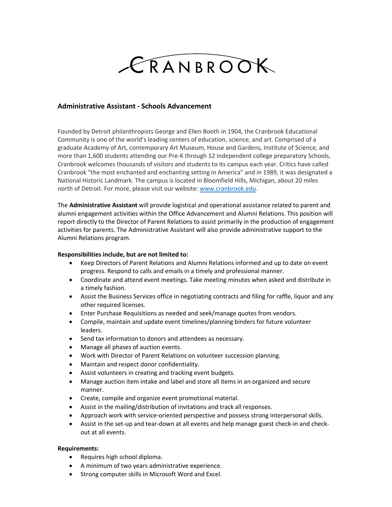

## **Administrative Assistant - Schools Advancement**

Founded by Detroit philanthropists George and Ellen Booth in 1904, the Cranbrook Educational Community is one of the world's leading centers of education, science, and art. Comprised of a graduate Academy of Art, contemporary Art Museum, House and Gardens, Institute of Science, and more than 1,600 students attending our Pre-K through 12 independent college preparatory Schools, Cranbrook welcomes thousands of visitors and students to its campus each year. Critics have called Cranbrook "the most enchanted and enchanting setting in America" and in 1989, it was designated a National Historic Landmark. The campus is located in Bloomfield Hills, Michigan, about 20 miles north of Detroit. For more, please visit our website: [www.cranbrook.edu.](http://www.cranbrook.edu/)

The **Administrative Assistant** will provide logistical and operational assistance related to parent and alumni engagement activities within the Office Advancement and Alumni Relations. This position will report directly to the Director of Parent Relations to assist primarily in the production of engagement activities for parents. The Administrative Assistant will also provide administrative support to the Alumni Relations program.

## **Responsibilities include, but are not limited to:**

- Keep Directors of Parent Relations and Alumni Relations informed and up to date on event progress. Respond to calls and emails in a timely and professional manner.
- Coordinate and attend event meetings. Take meeting minutes when asked and distribute in a timely fashion.
- Assist the Business Services office in negotiating contracts and filing for raffle, liquor and any other required licenses.
- Enter Purchase Requisitions as needed and seek/manage quotes from vendors.
- Compile, maintain and update event timelines/planning binders for future volunteer leaders.
- Send tax information to donors and attendees as necessary.
- Manage all phases of auction events.
- Work with Director of Parent Relations on volunteer succession planning.
- Maintain and respect donor confidentiality.
- Assist volunteers in creating and tracking event budgets.
- Manage auction item intake and label and store all items in an organized and secure manner.
- Create, compile and organize event promotional material.
- Assist in the mailing/distribution of invitations and track all responses.
- Approach work with service-oriented perspective and possess strong interpersonal skills.
- Assist in the set-up and tear-down at all events and help manage guest check-in and checkout at all events.

## **Requirements:**

- Requires high school diploma.
- A minimum of two years administrative experience.
- Strong computer skills in Microsoft Word and Excel.